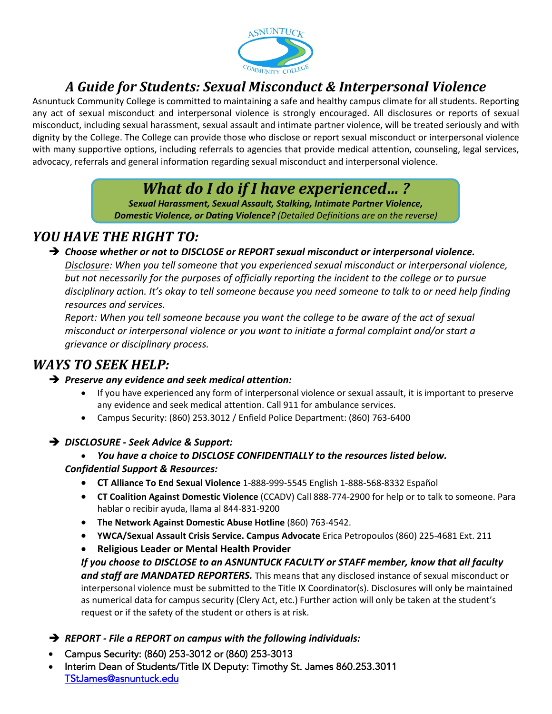

## *A Guide for Students: Sexual Misconduct & Interpersonal Violence*

Asnuntuck Community College is committed to maintaining a safe and healthy campus climate for all students. Reporting any act of sexual misconduct and interpersonal violence is strongly encouraged. All disclosures or reports of sexual misconduct, including sexual harassment, sexual assault and intimate partner violence, will be treated seriously and with dignity by the College. The College can provide those who disclose or report sexual misconduct or interpersonal violence with many supportive options, including referrals to agencies that provide medical attention, counseling, legal services, advocacy, referrals and general information regarding sexual misconduct and interpersonal violence.

# *What do I do if I have experienced… ?*

*Sexual Harassment, Sexual Assault, Stalking, Intimate Partner Violence, Domestic Violence, or Dating Violence? (Detailed Definitions are on the reverse)* 

### *YOU HAVE THE RIGHT TO:*

*Choose whether or not to DISCLOSE or REPORT sexual misconduct or interpersonal violence.*

*Disclosure: When you tell someone that you experienced sexual misconduct or interpersonal violence, but not necessarily for the purposes of officially reporting the incident to the college or to pursue disciplinary action. It's okay to tell someone because you need someone to talk to or need help finding resources and services.*

*Report: When you tell someone because you want the college to be aware of the act of sexual misconduct or interpersonal violence or you want to initiate a formal complaint and/or start a grievance or disciplinary process.*

## *WAYS TO SEEK HELP:*

#### *Preserve any evidence and seek medical attention:*

- If you have experienced any form of interpersonal violence or sexual assault, it is important to preserve any evidence and seek medical attention. Call 911 for ambulance services.
- Campus Security: (860) 253.3012 / Enfield Police Department: (860) 763-6400
- *DISCLOSURE Seek Advice & Support:*
	- *You have a choice to DISCLOSE CONFIDENTIALLY to the resources listed below.*
	- *Confidential Support & Resources:*
		- **CT Alliance To End Sexual Violence** 1-888-999-5545 English 1-888-568-8332 Español
		- **CT Coalition Against Domestic Violence** (CCADV) Call 888-774-2900 for help or to talk to someone. Para hablar o recibir ayuda, llama al 844-831-9200
		- **The Network Against Domestic Abuse Hotline** (860) 763-4542.
		- **YWCA/Sexual Assault Crisis Service. Campus Advocate** Erica Petropoulos (860) 225-4681 Ext. 211
		- **Religious Leader or Mental Health Provider**

*If you choose to DISCLOSE to an ASNUNTUCK FACULTY or STAFF member, know that all faculty and staff are MANDATED REPORTERS.* This means that any disclosed instance of sexual misconduct or interpersonal violence must be submitted to the Title IX Coordinator(s). Disclosures will only be maintained as numerical data for campus security (Clery Act, etc.) Further action will only be taken at the student's request or if the safety of the student or others is at risk.

- *REPORT File a REPORT on campus with the following individuals:*
- Campus Security: (860) 253-3012 or (860) 253-3013
- Interim Dean of Students/Title IX Deputy: Ti[mothy St. James 860.25](mailto:yzelinka@asnuntuck.edu)[3.3011](mailto:TStJames@asnuntuck.edu)  TStJames@asnuntuck.edu